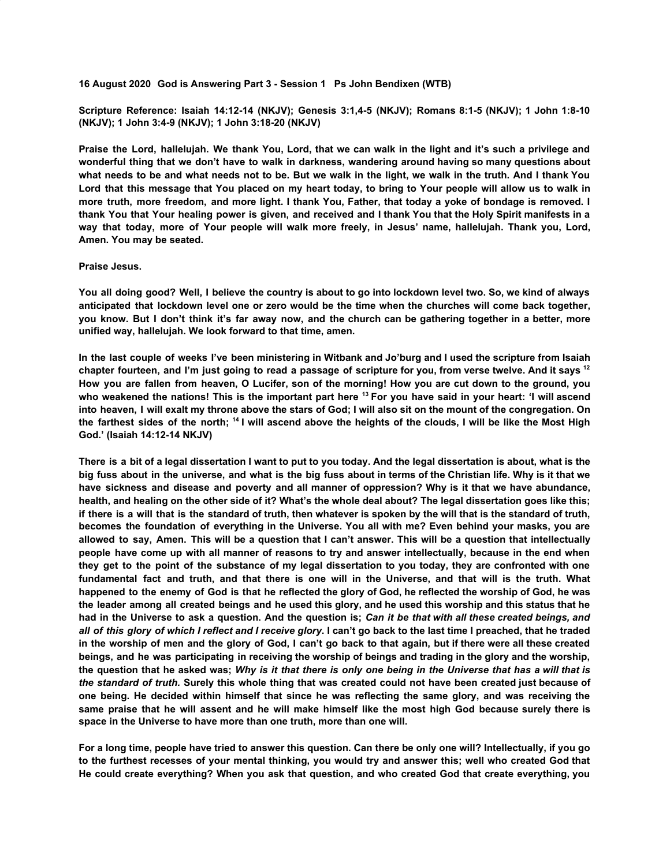**16 August 2020 God is Answering Part 3 - Session 1 Ps John Bendixen (WTB)**

**Scripture Reference: Isaiah 14:12-14 (NKJV); Genesis 3:1,4-5 (NKJV); Romans 8:1-5 (NKJV); 1 John 1:8-10 (NKJV); 1 John 3:4-9 (NKJV); 1 John 3:18-20 (NKJV)**

Praise the Lord, hallelujah. We thank You, Lord, that we can walk in the light and it's such a privilege and **wonderful thing that we don't have to walk in darkness, wandering around having so many questions about** what needs to be and what needs not to be. But we walk in the light, we walk in the truth. And I thank You Lord that this message that You placed on my heart today, to bring to Your people will allow us to walk in more truth, more freedom, and more light. I thank You, Father, that today a yoke of bondage is removed. I thank You that Your healing power is given, and received and I thank You that the Holy Spirit manifests in a way that today, more of Your people will walk more freely, in Jesus' name, hallelujah. Thank you, Lord, **Amen. You may be seated.**

## **Praise Jesus.**

You all doing good? Well, I believe the country is about to go into lockdown level two. So, we kind of always anticipated that lockdown level one or zero would be the time when the churches will come back together, you know. But I don't think it's far away now, and the church can be gathering together in a better, more **unified way, hallelujah. We look forward to that time, amen.**

In the last couple of weeks I've been ministering in Witbank and Jo'burg and I used the scripture from Isaiah chapter fourteen, and I'm just going to read a passage of scripture for you, from verse twelve. And it says <sup>12</sup> How you are fallen from heaven, O Lucifer, son of the morning! How you are cut down to the ground, you who weakened the nations! This is the important part here <sup>13</sup> For you have said in your heart: 'I will ascend into heaven, I will exalt my throne above the stars of God; I will also sit on the mount of the congregation. On the farthest sides of the north; <sup>14</sup> I will ascend above the heights of the clouds, I will be like the Most High **God.' (Isaiah 14:12-14 NKJV)**

There is a bit of a legal dissertation I want to put to you today. And the legal dissertation is about, what is the big fuss about in the universe, and what is the big fuss about in terms of the Christian life. Why is it that we have sickness and disease and poverty and all manner of oppression? Why is it that we have abundance, health, and healing on the other side of it? What's the whole deal about? The legal dissertation goes like this; if there is a will that is the standard of truth, then whatever is spoken by the will that is the standard of truth. becomes the foundation of everything in the Universe. You all with me? Even behind your masks, you are allowed to say, Amen. This will be a question that I can't answer. This will be a question that intellectually people have come up with all manner of reasons to try and answer intellectually, because in the end when they get to the point of the substance of my legal dissertation to you today, they are confronted with one fundamental fact and truth, and that there is one will in the Universe, and that will is the truth. What happened to the enemy of God is that he reflected the glory of God, he reflected the worship of God, he was the leader among all created beings and he used this glory, and he used this worship and this status that he had in the Universe to ask a question. And the question is; Can it be that with all these created beings, and all of this glory of which I reflect and I receive glory. I can't go back to the last time I preached, that he traded in the worship of men and the glory of God, I can't go back to that again, but if there were all these created beings, and he was participating in receiving the worship of beings and trading in the glory and the worship, the question that he asked was: Why is it that there is only one being in the Universe that has a will that is the standard of truth. Surely this whole thing that was created could not have been created just because of one being. He decided within himself that since he was reflecting the same glory, and was receiving the same praise that he will assent and he will make himself like the most high God because surely there is **space in the Universe to have more than one truth, more than one will.**

For a long time, people have tried to answer this question. Can there be only one will? Intellectually, if you go to the furthest recesses of your mental thinking, you would try and answer this; well who created God that **He could create everything? When you ask that question, and who created God that create everything, you**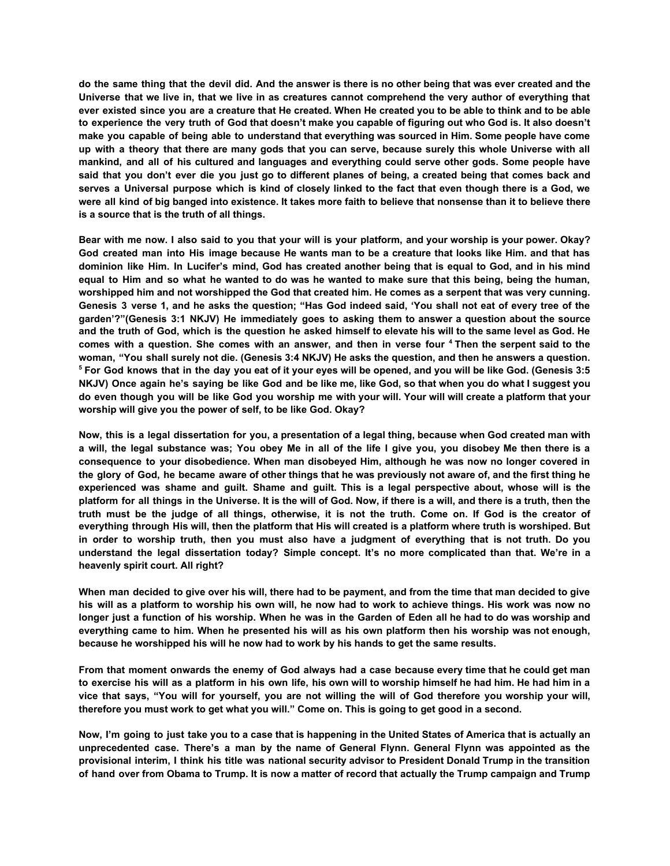do the same thing that the devil did. And the answer is there is no other being that was ever created and the Universe that we live in, that we live in as creatures cannot comprehend the very author of everything that ever existed since you are a creature that He created. When He created you to be able to think and to be able to experience the very truth of God that doesn't make you capable of figuring out who God is. It also doesn't make you capable of being able to understand that everything was sourced in Him. Some people have come up with a theory that there are many gods that you can serve, because surely this whole Universe with all **mankind, and all of his cultured and languages and everything could serve other gods. Some people have** said that you don't ever die you just go to different planes of being, a created being that comes back and serves a Universal purpose which is kind of closely linked to the fact that even though there is a God, we were all kind of big banged into existence. It takes more faith to believe that nonsense than it to believe there **is a source that is the truth of all things.**

Bear with me now. I also said to you that your will is your platform, and your worship is your power. Okay? God created man into His image because He wants man to be a creature that looks like Him. and that has dominion like Him. In Lucifer's mind, God has created another being that is equal to God, and in his mind equal to Him and so what he wanted to do was he wanted to make sure that this being, being the human, worshipped him and not worshipped the God that created him. He comes as a serpent that was very cunning. Genesis 3 verse 1, and he asks the question; "Has God indeed said, 'You shall not eat of every tree of the **garden'?"(Genesis 3:1 NKJV) He immediately goes to asking them to answer a question about the source** and the truth of God, which is the question he asked himself to elevate his will to the same level as God. He comes with a question. She comes with an answer, and then in verse four <sup>4</sup> Then the serpent said to the woman, "You shall surely not die. (Genesis 3:4 NKJV) He asks the question, and then he answers a question. <sup>5</sup> For God knows that in the day you eat of it your eyes will be opened, and you will be like God. (Genesis 3:5 NKJV) Once again he's saying be like God and be like me, like God, so that when you do what I suggest you do even though you will be like God you worship me with your will. Your will will create a platform that your **worship will give you the power of self, to be like God. Okay?**

Now, this is a legal dissertation for you, a presentation of a legal thing, because when God created man with a will, the legal substance was; You obey Me in all of the life I give you, you disobey Me then there is a **consequence to your disobedience. When man disobeyed Him, although he was now no longer covered in** the glory of God, he became aware of other things that he was previously not aware of, and the first thing he experienced was shame and guilt. Shame and guilt. This is a legal perspective about, whose will is the platform for all things in the Universe. It is the will of God. Now, if there is a will, and there is a truth, then the truth must be the judge of all things, otherwise, it is not the truth. Come on, If God is the creator of everything through His will, then the platform that His will created is a platform where truth is worshiped. But in order to worship truth, then you must also have a judgment of everything that is not truth. Do you **understand the legal dissertation today? Simple concept. It's no more complicated than that. We're in a heavenly spirit court. All right?**

When man decided to give over his will, there had to be payment, and from the time that man decided to give his will as a platform to worship his own will, he now had to work to achieve things. His work was now no longer just a function of his worship. When he was in the Garden of Eden all he had to do was worship and everything came to him. When he presented his will as his own platform then his worship was not enough, **because he worshipped his will he now had to work by his hands to get the same results.**

From that moment onwards the enemy of God always had a case because every time that he could get man to exercise his will as a platform in his own life, his own will to worship himself he had him. He had him in a vice that says, "You will for yourself, you are not willing the will of God therefore you worship your will, **therefore you must work to get what you will." Come on. This is going to get good in a second.**

Now, I'm going to just take you to a case that is happening in the United States of America that is actually an **unprecedented case. There's a man by the name of General Flynn. General Flynn was appointed as the** provisional interim, I think his title was national security advisor to President Donald Trump in the transition of hand over from Obama to Trump. It is now a matter of record that actually the Trump campaign and Trump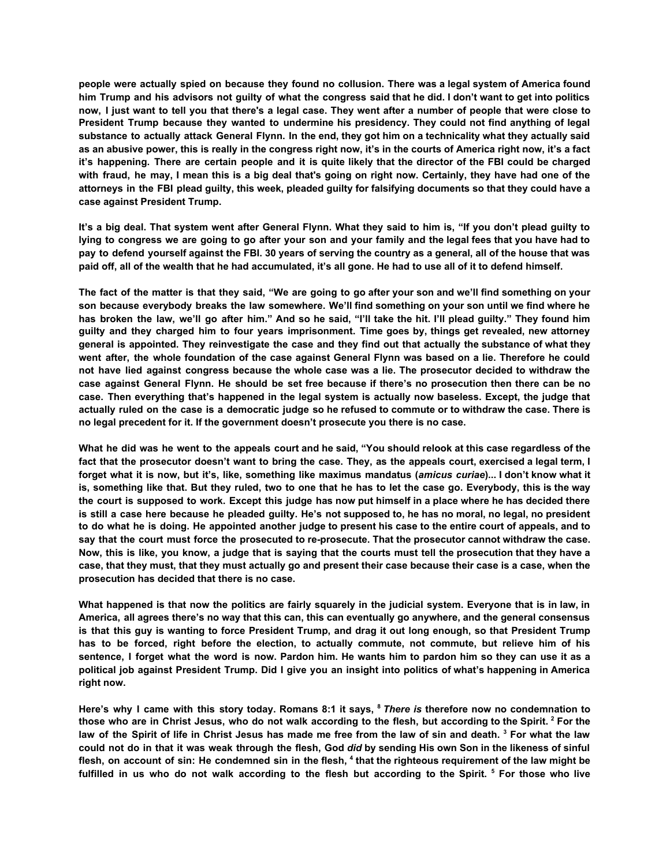people were actually spied on because they found no collusion. There was a legal system of America found him Trump and his advisors not guilty of what the congress said that he did. I don't want to get into politics now, I just want to tell you that there's a legal case. They went after a number of people that were close to **President Trump because they wanted to undermine his presidency. They could not find anything of legal** substance to actually attack General Flynn. In the end, they got him on a technicality what they actually said as an abusive power, this is really in the congress right now, it's in the courts of America right now, it's a fact it's happening. There are certain people and it is quite likely that the director of the FBI could be charged with fraud, he may, I mean this is a big deal that's going on right now. Certainly, they have had one of the attorneys in the FBI plead guilty, this week, pleaded guilty for falsifying documents so that they could have a **case against President Trump.**

It's a big deal. That system went after General Flynn. What they said to him is, "If you don't plead guilty to lying to congress we are going to go after your son and your family and the legal fees that you have had to pay to defend yourself against the FBI. 30 years of serving the country as a general, all of the house that was **paid off, all of the wealth that he had accumulated, it's all gone. He had to use all of it to defend himself.**

The fact of the matter is that they said, "We are going to go after your son and we'll find something on your son because everybody breaks the law somewhere. We'll find something on your son until we find where he has broken the law, we'll go after him." And so he said, "I'll take the hit. I'll plead guilty." They found him **guilty and they charged him to four years imprisonment. Time goes by, things get revealed, new attorney** general is appointed. They reinvestigate the case and they find out that actually the substance of what they went after, the whole foundation of the case against General Flynn was based on a lie. Therefore he could not have lied against congress because the whole case was a lie. The prosecutor decided to withdraw the case against General Flynn. He should be set free because if there's no prosecution then there can be no case. Then everything that's happened in the legal system is actually now baseless. Except, the judge that actually ruled on the case is a democratic judge so he refused to commute or to withdraw the case. There is **no legal precedent for it. If the government doesn't prosecute you there is no case.**

What he did was he went to the appeals court and he said, "You should relook at this case regardless of the fact that the prosecutor doesn't want to bring the case. They, as the appeals court, exercised a legal term, I forget what it is now, but it's, like, something like maximus mandatus (amicus curiae)... I don't know what it is, something like that. But they ruled, two to one that he has to let the case go. Everybody, this is the way the court is supposed to work. Except this judge has now put himself in a place where he has decided there is still a case here because he pleaded quilty. He's not supposed to, he has no moral, no legal, no president to do what he is doing. He appointed another judge to present his case to the entire court of appeals, and to say that the court must force the prosecuted to re-prosecute. That the prosecutor cannot withdraw the case. Now, this is like, you know, a judge that is saying that the courts must tell the prosecution that they have a case, that they must, that they must actually go and present their case because their case is a case, when the **prosecution has decided that there is no case.**

What happened is that now the politics are fairly squarely in the judicial system. Everyone that is in law, in America, all agrees there's no way that this can, this can eventually go anywhere, and the general consensus is that this guy is wanting to force President Trump, and drag it out long enough, so that President Trump has to be forced, right before the election, to actually commute, not commute, but relieve him of his sentence, I forget what the word is now. Pardon him. He wants him to pardon him so they can use it as a political job against President Trump. Did I give you an insight into politics of what's happening in America **right now.**

Here's why I came with this story today. Romans 8:1 it says, <sup>8</sup> There is therefore now no condemnation to those who are in Christ Jesus, who do not walk according to the flesh, but according to the Spirit. <sup>2</sup> For the law of the Spirit of life in Christ Jesus has made me free from the law of sin and death.<sup>3</sup> For what the law could not do in that it was weak through the flesh. God did by sending His own Son in the likeness of sinful flesh, on account of sin: He condemned sin in the flesh, <sup>4</sup> that the righteous requirement of the law might be fulfilled in us who do not walk according to the flesh but according to the Spirit. <sup>5</sup> For those who live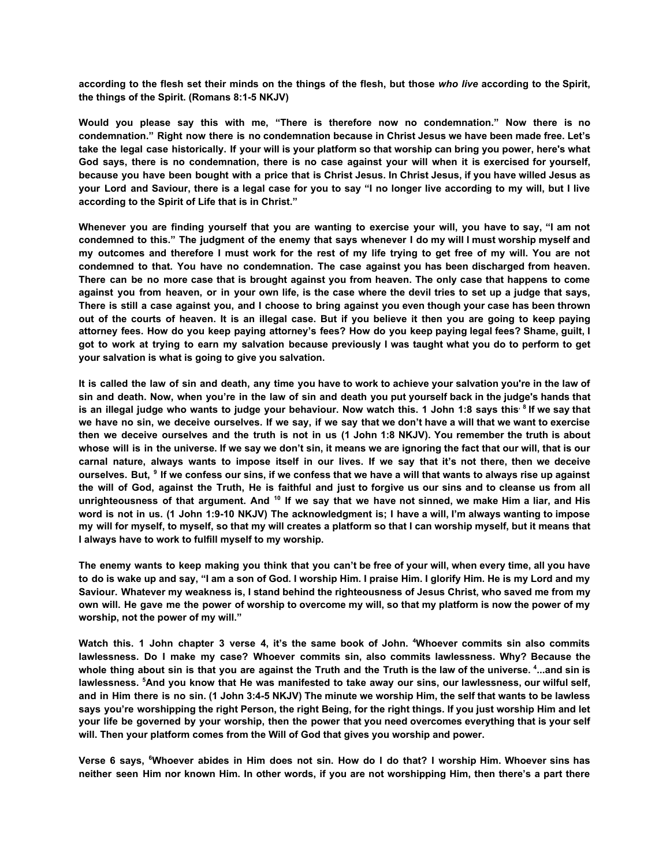according to the flesh set their minds on the things of the flesh, but those who live according to the Spirit, **the things of the Spirit. (Romans 8:1-5 NKJV)**

**Would you please say this with me, "There is therefore now no condemnation." Now there is no condemnation." Right now there is no condemnation because in Christ Jesus we have been made free. Let's** take the legal case historically. If your will is your platform so that worship can bring you power, here's what God says, there is no condemnation, there is no case against your will when it is exercised for yourself, because you have been bought with a price that is Christ Jesus. In Christ Jesus, if you have willed Jesus as your Lord and Saviour, there is a legal case for you to say "I no longer live according to my will, but I live **according to the Spirit of Life that is in Christ."**

Whenever you are finding yourself that you are wanting to exercise your will, you have to say, "I am not condemned to this." The judgment of the enemy that says whenever I do my will I must worship myself and my outcomes and therefore I must work for the rest of my life trying to get free of my will. You are not **condemned to that. You have no condemnation. The case against you has been discharged from heaven.** There can be no more case that is brought against you from heaven. The only case that happens to come against you from heaven, or in your own life, is the case where the devil tries to set up a judge that says, There is still a case against you, and I choose to bring against you even though your case has been thrown out of the courts of heaven. It is an illegal case. But if you believe it then you are going to keep paying attorney fees. How do you keep paying attorney's fees? How do you keep paying legal fees? Shame, guilt, I got to work at trying to earn my salvation because previously I was taught what you do to perform to get **your salvation is what is going to give you salvation.**

It is called the law of sin and death, any time you have to work to achieve your salvation you're in the law of sin and death. Now, when you're in the law of sin and death you put yourself back in the judge's hands that is an illegal judge who wants to judge your behaviour. Now watch this. 1 John 1:8 says this<sup>, 8</sup> If we say that we have no sin, we deceive ourselves. If we say, if we say that we don't have a will that we want to exercise then we deceive ourselves and the truth is not in us (1 John 1:8 NKJV). You remember the truth is about whose will is in the universe. If we say we don't sin, it means we are ignoring the fact that our will, that is our carnal nature, always wants to impose itself in our lives. If we say that it's not there, then we deceive ourselves. But, <sup>9</sup> If we confess our sins, if we confess that we have a will that wants to always rise up against the will of God, against the Truth, He is faithful and just to forgive us our sins and to cleanse us from all unrighteousness of that argument. And <sup>10</sup> If we say that we have not sinned, we make Him a liar, and His word is not in us. (1 John 1:9-10 NKJV) The acknowledgment is: I have a will. I'm always wanting to impose my will for myself, to myself, so that my will creates a platform so that I can worship myself, but it means that **I always have to work to fulfill myself to my worship.**

The enemy wants to keep making you think that you can't be free of your will, when every time, all you have to do is wake up and say, "I am a son of God. I worship Him. I praise Him. I glorify Him. He is my Lord and my Saviour. Whatever my weakness is. I stand behind the righteousness of Jesus Christ, who saved me from my own will. He gave me the power of worship to overcome my will, so that my platform is now the power of my **worship, not the power of my will."**

Watch this. 1 John chapter 3 verse 4, it's the same book of John. "Whoever commits sin also commits **lawlessness. Do I make my case? Whoever commits sin, also commits lawlessness. Why? Because the** whole thing about sin is that you are against the Truth and the Truth is the law of the universe. <sup>4</sup>...and sin is lawlessness. <sup>5</sup>And you know that He was manifested to take away our sins, our lawlessness, our wilful self, and in Him there is no sin. (1 John 3:4-5 NKJV) The minute we worship Him, the self that wants to be lawless says you're worshipping the right Person, the right Being, for the right things. If you just worship Him and let your life be governed by your worship, then the power that you need overcomes everything that is your self **will. Then your platform comes from the Will of God that gives you worship and power.**

Verse 6 says, <sup>6</sup>Whoever abides in Him does not sin. How do I do that? I worship Him. Whoever sins has neither seen Him nor known Him. In other words, if you are not worshipping Him, then there's a part there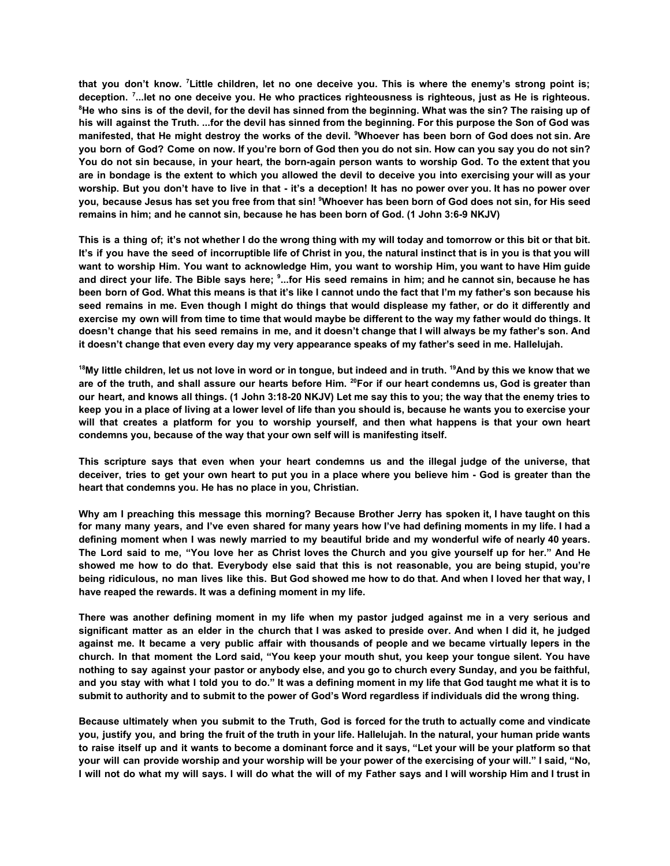that you don't know. <sup>7</sup> Little children, let no one deceive you. This is where the enemy's strong point is; deception. <sup>7</sup>...let no one deceive you. He who practices righteousness is righteous, just as He is righteous. <sup>8</sup>He who sins is of the devil, for the devil has sinned from the beginning. What was the sin? The raising up of his will against the Truth. ...for the devil has sinned from the beginning. For this purpose the Son of God was manifested, that He might destroy the works of the devil. <sup>9</sup>Whoever has been born of God does not sin. Are you born of God? Come on now. If you're born of God then you do not sin. How can you say you do not sin? You do not sin because, in your heart, the born-again person wants to worship God. To the extent that you are in bondage is the extent to which you allowed the devil to deceive you into exercising your will as your worship. But you don't have to live in that - it's a deception! It has no power over you. It has no power over you, because Jesus has set you free from that sin! <sup>9</sup>Whoever has been born of God does not sin, for His seed **remains in him; and he cannot sin, because he has been born of God. (1 John 3:6-9 NKJV)**

This is a thing of; it's not whether I do the wrong thing with my will today and tomorrow or this bit or that bit. It's if you have the seed of incorruptible life of Christ in you, the natural instinct that is in you is that you will want to worship Him. You want to acknowledge Him, you want to worship Him, you want to have Him guide and direct your life. The Bible says here; <sup>s</sup>...for His seed remains in him; and he cannot sin, because he has been born of God. What this means is that it's like I cannot undo the fact that I'm my father's son because his seed remains in me. Even though I might do things that would displease my father, or do it differently and exercise my own will from time to time that would maybe be different to the way my father would do things. It doesn't change that his seed remains in me, and it doesn't change that I will always be my father's son. And **it doesn't change that even every day my very appearance speaks of my father's seed in me. Hallelujah.**

<sup>18</sup>My little children, let us not love in word or in tongue, but indeed and in truth. <sup>19</sup>And by this we know that we are of the truth, and shall assure our hearts before Him. <sup>20</sup>For if our heart condemns us, God is greater than our heart, and knows all things. (1 John 3:18-20 NKJV) Let me say this to you; the way that the enemy tries to keep you in a place of living at a lower level of life than you should is, because he wants you to exercise your will that creates a platform for you to worship yourself, and then what happens is that your own heart **condemns you, because of the way that your own self will is manifesting itself.**

This scripture says that even when your heart condemns us and the illegal judge of the universe, that deceiver, tries to get your own heart to put you in a place where you believe him - God is greater than the **heart that condemns you. He has no place in you, Christian.**

Why am I preaching this message this morning? Because Brother Jerry has spoken it. I have taught on this for many many years, and I've even shared for many years how I've had defining moments in my life. I had a defining moment when I was newly married to my beautiful bride and my wonderful wife of nearly 40 years. The Lord said to me, "You love her as Christ loves the Church and you give yourself up for her." And He showed me how to do that. Everybody else said that this is not reasonable, you are being stupid, you're being ridiculous, no man lives like this. But God showed me how to do that. And when I loved her that way, I **have reaped the rewards. It was a defining moment in my life.**

There was another defining moment in my life when my pastor judged against me in a very serious and significant matter as an elder in the church that I was asked to preside over. And when I did it, he judged against me. It became a very public affair with thousands of people and we became virtually lepers in the church. In that moment the Lord said, "You keep your mouth shut, you keep your tongue silent. You have nothing to say against your pastor or anybody else, and you go to church every Sunday, and you be faithful. and you stay with what I told you to do." It was a defining moment in my life that God taught me what it is to **submit to authority and to submit to the power of God's Word regardless if individuals did the wrong thing.**

Because ultimately when you submit to the Truth, God is forced for the truth to actually come and vindicate you, justify you, and bring the fruit of the truth in your life. Hallelujah. In the natural, your human pride wants to raise itself up and it wants to become a dominant force and it says, "Let your will be your platform so that your will can provide worship and your worship will be your power of the exercising of your will." I said, "No, I will not do what my will says. I will do what the will of my Father says and I will worship Him and I trust in